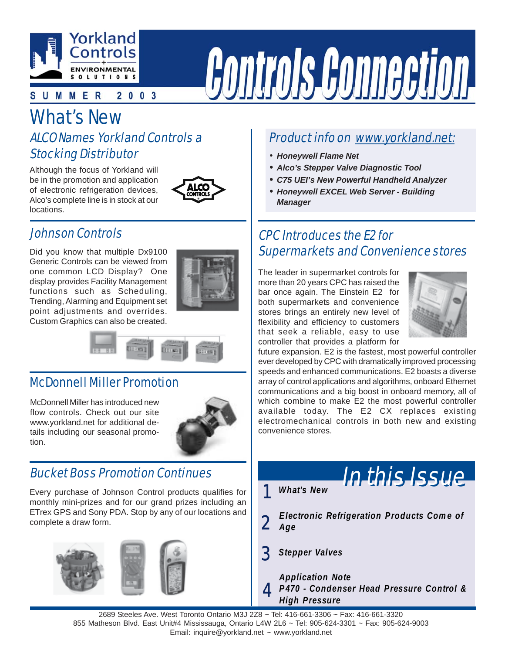

#### UMMER  $2003$

# What's New

### ALCO Names Yorkland Controls a Stocking Distributor

Although the focus of Yorkland will be in the promotion and application of electronic refrigeration devices, Alco's complete line is in stock at our locations.



### Johnson Controls

Did you know that multiple Dx9100 Generic Controls can be viewed from one common LCD Display? One display provides Facility Management functions such as Scheduling, Trending, Alarming and Equipment set point adjustments and overrides. Custom Graphics can also be created.





### McDonnell Miller Promotion

McDonnell Miller has introduced new flow controls. Check out our site www.yorkland.net for additional details including our seasonal promotion.



### Bucket Boss Promotion Continues

Every purchase of Johnson Control products qualifies for monthly mini-prizes and for our grand prizes including an ETrex GPS and Sony PDA. Stop by any of our locations and complete a draw form.



### Product info on www.yorkland.net:

- *Honeywell Flame Net*
- *• Alco's Stepper Valve Diagnostic Tool*

**Controls Connection** 

- *• C75 UEI's New Powerful Handheld Analyzer*
- *• Honeywell EXCEL Web Server Building Manager*

### CPC Introduces the E2 for Supermarkets and Convenience stores

The leader in supermarket controls for more than 20 years CPC has raised the bar once again. The Einstein E2 for both supermarkets and convenience stores brings an entirely new level of flexibility and efficiency to customers that seek a reliable, easy to use controller that provides a platform for



future expansion. E2 is the fastest, most powerful controller ever developed by CPC with dramatically improved processing speeds and enhanced communications. E2 boasts a diverse array of control applications and algorithms, onboard Ethernet communications and a big boost in onboard memory, all of which combine to make E2 the most powerful controller available today. The E2 CX replaces existing electromechanical controls in both new and existing convenience stores.

1 *What's New*



**2** *Electronic Refrigeration Products Come of Age*

3 *Stepper Valves*

4 *Application Note P470 - Condenser Head Pressure Control & High Pressure*

2689 Steeles Ave. West Toronto Ontario M3J 2Z8 ~ Tel: 416-661-3306 ~ Fax: 416-661-3320 855 Matheson Blvd. East Unit#4 Mississauga, Ontario L4W 2L6 ~ Tel: 905-624-3301 ~ Fax: 905-624-9003 Email: inquire@yorkland.net ~ www.yorkland.net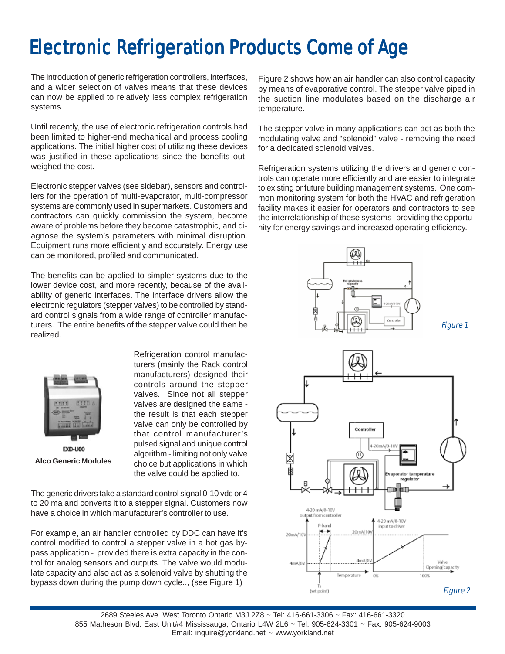## Electronic Refrigeration Products Come of Age Electronic Refrigeration Products Come of Age

The introduction of generic refrigeration controllers, interfaces, and a wider selection of valves means that these devices can now be applied to relatively less complex refrigeration systems.

Until recently, the use of electronic refrigeration controls had been limited to higher-end mechanical and process cooling applications. The initial higher cost of utilizing these devices was justified in these applications since the benefits outweighed the cost.

Electronic stepper valves (see sidebar), sensors and controllers for the operation of multi-evaporator, multi-compressor systems are commonly used in supermarkets. Customers and contractors can quickly commission the system, become aware of problems before they become catastrophic, and diagnose the system's parameters with minimal disruption. Equipment runs more efficiently and accurately. Energy use can be monitored, profiled and communicated.

The benefits can be applied to simpler systems due to the lower device cost, and more recently, because of the availability of generic interfaces. The interface drivers allow the electronic regulators (stepper valves) to be controlled by standard control signals from a wide range of controller manufacturers. The entire benefits of the stepper valve could then be realized.



Refrigeration control manufacturers (mainly the Rack control manufacturers) designed their controls around the stepper valves. Since not all stepper valves are designed the same the result is that each stepper valve can only be controlled by that control manufacturer's pulsed signal and unique control algorithm - limiting not only valve choice but applications in which the valve could be applied to.

The generic drivers take a standard control signal 0-10 vdc or 4 to 20 ma and converts it to a stepper signal. Customers now have a choice in which manufacturer's controller to use.

For example, an air handler controlled by DDC can have it's control modified to control a stepper valve in a hot gas bypass application - provided there is extra capacity in the control for analog sensors and outputs. The valve would modulate capacity and also act as a solenoid valve by shutting the bypass down during the pump down cycle.., (see Figure 1)

Figure 2 shows how an air handler can also control capacity by means of evaporative control. The stepper valve piped in the suction line modulates based on the discharge air temperature.

The stepper valve in many applications can act as both the modulating valve and "solenoid" valve - removing the need for a dedicated solenoid valves.

Refrigeration systems utilizing the drivers and generic controls can operate more efficiently and are easier to integrate to existing or future building management systems. One common monitoring system for both the HVAC and refrigeration facility makes it easier for operators and contractors to see the interrelationship of these systems- providing the opportunity for energy savings and increased operating efficiency.

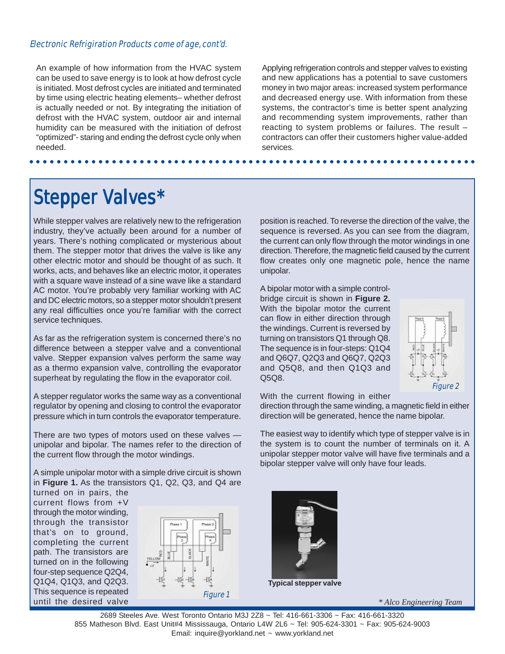#### Electronic Refrigiration Products come of age, cont'd.

An example of how information from the HVAC system can be used to save energy is to look at how defrost cycle is initiated. Most defrost cycles are initiated and terminated by time using electric heating elements– whether defrost is actually needed or not. By integrating the initiation of defrost with the HVAC system, outdoor air and internal humidity can be measured with the initiation of defrost "optimized"- staring and ending the defrost cycle only when needed.

Applying refrigeration controls and stepper valves to existing and new applications has a potential to save customers money in two major areas: increased system performance and decreased energy use. With information from these systems, the contractor's time is better spent analyzing and recommending system improvements, rather than reacting to system problems or failures. The result – contractors can offer their customers higher value-added services.

## **Stepper Valves\***

While stepper valves are relatively new to the refrigeration industry, they've actually been around for a number of years. There's nothing complicated or mysterious about them. The stepper motor that drives the valve is like any other electric motor and should be thought of as such. It works, acts, and behaves like an electric motor, it operates with a square wave instead of a sine wave like a standard AC motor. You're probably very familiar working with AC and DC electric motors, so a stepper motor shouldn't present any real difficulties once you're familiar with the correct service techniques.

As far as the refrigeration system is concerned there's no difference between a stepper valve and a conventional valve. Stepper expansion valves perform the same way as a thermo expansion valve, controlling the evaporator superheat by regulating the flow in the evaporator coil.

A stepper regulator works the same way as a conventional regulator by opening and closing to control the evaporator pressure which in turn controls the evaporator temperature.

There are two types of motors used on these valves unipolar and bipolar. The names refer to the direction of the current flow through the motor windings.

A simple unipolar motor with a simple drive circuit is shown in **Figure 1.** As the transistors Q1, Q2, Q3, and Q4 are

turned on in pairs, the current flows from +V through the motor winding, through the transistor that's on to ground, completing the current path. The transistors are turned on in the following four-step sequence Q2Q4, Q1Q4, Q1Q3, and Q2Q3. This sequence is repeated until the desired valve



position is reached. To reverse the direction of the valve, the sequence is reversed. As you can see from the diagram, the current can only flow through the motor windings in one direction. Therefore, the magnetic field caused by the current flow creates only one magnetic pole, hence the name unipolar.

A bipolar motor with a simple controlbridge circuit is shown in **Figure 2.** With the bipolar motor the current can flow in either direction through the windings. Current is reversed by turning on transistors Q1 through Q8. The sequence is in four-steps: Q1Q4 and Q6Q7, Q2Q3 and Q6Q7, Q2Q3 and Q5Q8, and then Q1Q3 and Q5Q8.



With the current flowing in either

direction through the same winding, a magnetic field in either direction will be generated, hence the name bipolar.

The easiest way to identify which type of stepper valve is in the system is to count the number of terminals on it. A unipolar stepper motor valve will have five terminals and a bipolar stepper valve will only have four leads.



**Typical stepper valve**

*\* Alco Engineering Team*

○○○○○○○○○○○○○○○○○○○○○○○ ○○○○○○○○○○○○○○○○○○○○○○○○○○○○○○○○○○○○○○○○○○○